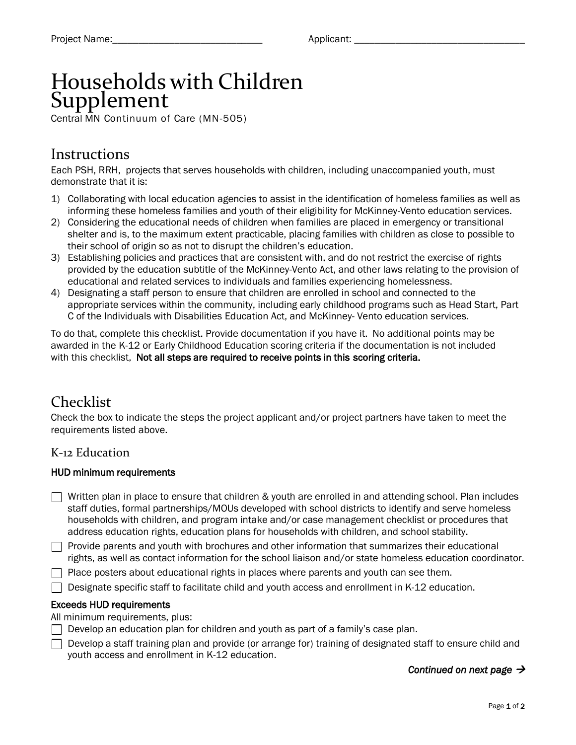# Households with Children Supplement

Central MN Continuum of Care (MN-505)

### **Instructions**

Each PSH, RRH, projects that serves households with children, including unaccompanied youth, must demonstrate that it is:

- 1) Collaborating with local education agencies to assist in the identification of homeless families as well as informing these homeless families and youth of their eligibility for McKinney-Vento education services.
- 2) Considering the educational needs of children when families are placed in emergency or transitional shelter and is, to the maximum extent practicable, placing families with children as close to possible to their school of origin so as not to disrupt the children's education.
- 3) Establishing policies and practices that are consistent with, and do not restrict the exercise of rights provided by the education subtitle of the McKinney-Vento Act, and other laws relating to the provision of educational and related services to individuals and families experiencing homelessness.
- 4) Designating a staff person to ensure that children are enrolled in school and connected to the appropriate services within the community, including early childhood programs such as Head Start, Part C of the Individuals with Disabilities Education Act, and McKinney- Vento education services.

To do that, complete this checklist. Provide documentation if you have it. No additional points may be awarded in the K-12 or Early Childhood Education scoring criteria if the documentation is not included with this checklist, Not all steps are required to receive points in this scoring criteria.

# Checklist

Check the box to indicate the steps the project applicant and/or project partners have taken to meet the requirements listed above.

### K-12 Education

#### HUD minimum requirements

- $\Box$  Written plan in place to ensure that children & youth are enrolled in and attending school. Plan includes staff duties, formal partnerships/MOUs developed with school districts to identify and serve homeless households with children, and program intake and/or case management checklist or procedures that address education rights, education plans for households with children, and school stability.
- $\Box$  Provide parents and youth with brochures and other information that summarizes their educational rights, as well as contact information for the school liaison and/or state homeless education coordinator.
- $\Box$  Place posters about educational rights in places where parents and youth can see them.
- $\Box$  Designate specific staff to facilitate child and youth access and enrollment in K-12 education.

#### Exceeds HUD requirements

- All minimum requirements, plus:
- Develop an education plan for children and youth as part of a family's case plan.
- $\Box$  Develop a staff training plan and provide (or arrange for) training of designated staff to ensure child and youth access and enrollment in K-12 education.

#### *Continued on next page →*